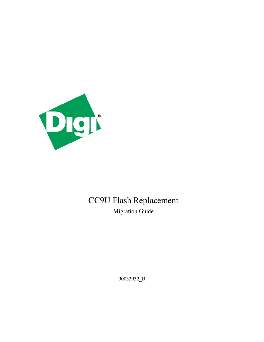

# CC9U Flash Replacement Migration Guide

90033932\_B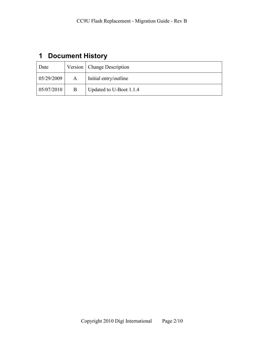## <span id="page-1-0"></span>**1 Document History**

| Date       |   | Version   Change Description |
|------------|---|------------------------------|
| 05/29/2009 | A | Initial entry/outline        |
| 05/07/2010 | B | Updated to U-Boot 1.1.4      |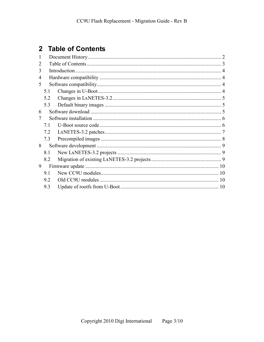## <span id="page-2-0"></span>2 Table of Contents

| 1              |     |  |  |  |  |  |  |
|----------------|-----|--|--|--|--|--|--|
|                |     |  |  |  |  |  |  |
| 3              |     |  |  |  |  |  |  |
| $\overline{4}$ |     |  |  |  |  |  |  |
| 5              |     |  |  |  |  |  |  |
|                | 5.1 |  |  |  |  |  |  |
|                | 5.2 |  |  |  |  |  |  |
|                | 5.3 |  |  |  |  |  |  |
| 6              |     |  |  |  |  |  |  |
| 7              |     |  |  |  |  |  |  |
|                | 71  |  |  |  |  |  |  |
|                | 7.2 |  |  |  |  |  |  |
|                | 7.3 |  |  |  |  |  |  |
| 8              |     |  |  |  |  |  |  |
|                | 8.1 |  |  |  |  |  |  |
|                | 8.2 |  |  |  |  |  |  |
| 9              |     |  |  |  |  |  |  |
|                | 9.1 |  |  |  |  |  |  |
|                | 92  |  |  |  |  |  |  |
|                | 9.3 |  |  |  |  |  |  |
|                |     |  |  |  |  |  |  |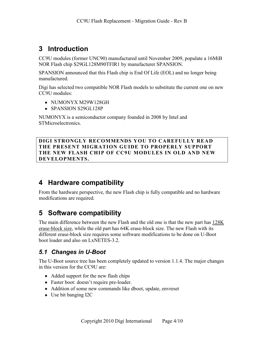### <span id="page-3-0"></span>**3 Introduction**

CC9U modules (former UNC90) manufactured until November 2009, populate a 16MiB NOR Flash chip S29GL128M90TFIR1 by manufacturer SPANSION.

SPANSION announced that this Flash chip is End Of Life (EOL) and no longer being manufactured.

Digi has selected two compatible NOR Flash models to substitute the current one on new CC9U modules:

- NUMONYX M29W128GH
- SPANSION S29GL128P

NUMONYX is a semiconductor company founded in 2008 by Intel and STMicroelectronics.

**DIGI STRONGLY RECOMMENDS YOU TO CAREFULLY READ THE PRESENT MIGRATION GUIDE TO PROPERLY SUPPORT THE NEW FLASH CHIP OF CC9U MODULES IN OLD AND NEW DEVELOPMENTS.**

### <span id="page-3-1"></span>**4 Hardware compatibility**

From the hardware perspective, the new Flash chip is fully compatible and no hardware modifications are required.

## <span id="page-3-2"></span>**5 Software compatibility**

The main difference between the new Flash and the old one is that the new part has 128K erase-block size, while the old part has 64K erase-block size. The new Flash with its different erase-block size requires some software modifications to be done on U-Boot boot loader and also on LxNETES-3.2.

### <span id="page-3-3"></span>*5.1 Changes in U-Boot*

The U-Boot source tree has been completely updated to version 1.1.4. The major changes in this version for the CC9U are:

- Added support for the new flash chips
- Faster boot: doesn't require pre-loader.
- Addition of some new commands like dboot, update, envreset
- Use bit banging I2C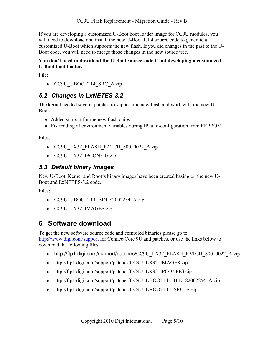CC9U Flash Replacement - Migration Guide - Rev B

If you are developing a customized U-Boot boot loader image for CC9U modules, you will need to download and install the new U-Boot 1.1.4 source code to generate a customized U-Boot which supports the new flash. If you did changes in the past to the U-Boot code, you will need to merge those changes in the new source tree.

#### **You don't need to download the U-Boot source code if not developing a customized U-Boot boot loader.**

File:

• CC9U UBOOT114 SRC A.zip

#### <span id="page-4-0"></span>*5.2 Changes in LxNETES-3.2*

The kernel needed several patches to support the new flash and work with the new U-Boot:

- Added support for the new flash chips
- Fix reading of environment variables during IP auto-configuration from EEPROM

Files:

- CC9U LX32 FLASH PATCH 80010022 A.zip
- CC9U LX32 IPCONFIG.zip

#### <span id="page-4-1"></span>*5.3 Default binary images*

New U-Boot, Kernel and Rootfs binary images have been created basing on the new U-Boot and LxNETES-3.2 code.

Files:

- CC9U UBOOT114 BIN 82002254 A.zip
- CC9U LX32 IMAGES.zip

### <span id="page-4-2"></span>**6 Software download**

To get the new software source code and compiled binaries please go to <http://www.digi.com/support> for ConnectCore 9U and patches, or use the links below to download the following files:

- [http://ftp1.digi.com/support/patches/](http://ftp1.digi.com/support/patches/CC9U_LX32_FLASH_PATCH_80010022_A.zip)CC9U\_LX32\_FLASH\_PATCH\_80010022\_A.zip
- [http://ftp1.digi.com/support/patches/](http://ftp1.digi.com/support/patches/CC9U_LX32_IMAGES.zip)CC9U\_LX32\_IMAGES.zip
- [http://ftp1.digi.com/support/patches/](http://ftp1.digi.com/support/patches/CC9U_LX32_IPCONFIG.zip)CC9U\_LX32\_IPCONFIG.zip
- [http://ftp1.digi.com/support/patches/](http://ftp1.digi.com/support/patches/CC9U_UBOOT114_BIN_820002254_A.zip)CC9U\_UBOOT114\_BIN\_82002254\_A.zip
- [http://ftp1.digi.com/support/patches/](http://ftp1.digi.com/support/patches/CC9U_UBOOT114_SRC_A.zip)CC9U\_UBOOT114\_SRC\_A.zip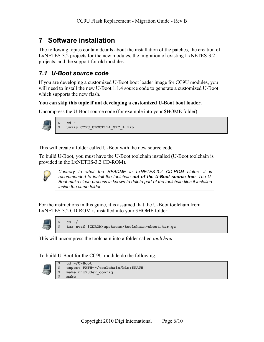### <span id="page-5-0"></span>**7 Software installation**

The following topics contain details about the installation of the patches, the creation of LxNETES-3.2 projects for the new modules, the migration of existing LxNETES-3.2 projects, and the support for old modules.

#### <span id="page-5-1"></span>*7.1 U-Boot source code*

If you are developing a customized U-Boot boot loader image for CC9U modules, you will need to install the new U-Boot 1.1.4 source code to generate a customized U-Boot which supports the new flash.

#### **You can skip this topic if not developing a customized U-Boot boot loader.**

Uncompress the U-Boot source code (for example into your \$HOME folder):



```
$ cd ~
$ unzip CC9U_UBOOT114_SRC_A.zip
```
This will create a folder called U-Boot with the new source code.

To build U-Boot, you must have the U-Boot toolchain installed (U-Boot toolchain is provided in the LxNETES-3.2 CD-ROM).



*Contrary to what the README in LxNETES-3.2 CD-ROM states, it is recommended to install the toolchain out of the U-Boot source tree. The U-Boot make clean process is known to delete part of the toolchain files if installed inside the same folder.*

For the instructions in this guide, it is assumed that the U-Boot toolchain from LxNETES-3.2 CD-ROM is installed into your \$HOME folder:



\$ **cd ~/** \$ **tar xvzf \$CDROM/upstream/toolchain-uboot.tar.gz**

This will uncompress the toolchain into a folder called *toolchain*.

To build U-Boot for the CC9U module do the following:



```
cd ~/U-Boot
   $ export PATH=~/toolchain/bin:$PATH
$ make unc90dev_config
$ make
```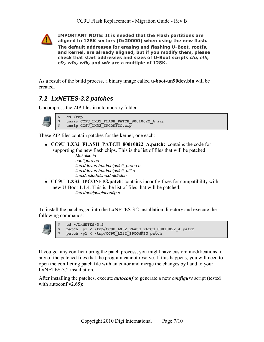

**IMPORTANT NOTE: It is needed that the Flash partitions are aligned to 128K sectors (0x20000) when using the new flash.** 

**The default addresses for erasing and flashing U-Boot, rootfs, and kernel, are already aligned, but if you modify them, please check that start addresses and sizes of U-Boot scripts** *cfu, cfk, cfr, wfu, wfk,* **and** *wfr* **are a multiple of 128K.**

As a result of the build process, a binary image called **u-boot-un90dev.bin** will be created.

#### <span id="page-6-0"></span>*7.2 LxNETES-3.2 patches*

Uncompress the ZIP files in a temporary folder:



\$ **cd /tmp** \$ **unzip CC9U\_LX32\_FLASH\_PATCH\_80010022\_A.zip** unzip CC9U\_LX32\_IPCONFIG.zip

These ZIP files contain patches for the kernel, one each:

**CC9U\_LX32\_FLASH\_PATCH\_80010022\_A.patch:** contains the code for supporting the new flash chips. This is the list of files that will be patched:

> *Makefile.in configure.ac linux/drivers/mtd/chips/cfi\_probe.c linux/drivers/mtd/chips/cfi\_util.c linux/include/linux/mtd/cfi.h*

**CC9U\_LX32\_IPCONFIG.patch**: contains ipconfig fixes for compatibility with new U-Boot 1.1.4. This is the list of files that will be patched: *linux/net/ipv4/ipconfig.c*

To install the patches, go into the LxNETES-3.2 installation directory and execute the following commands:



\$ **cd ~/LxNETES-3.2** \$ **patch -p1 < /tmp/CC9U\_LX32\_FLASH\_PATCH\_80010022\_A.patch** \$ **patch -p1 < /tmp/CC9U\_LX32\_IPCONFIG.patch**

If you get any conflict during the patch process, you might have custom modifications to any of the patched files that the program cannot resolve. If this happens, you will need to open the conflicting patch file with an editor and merge the changes by hand to your LxNETES-3.2 installation.

After installing the patches, execute *autoconf* to generate a new *configure* script (tested with autoconf  $v2.65$ ):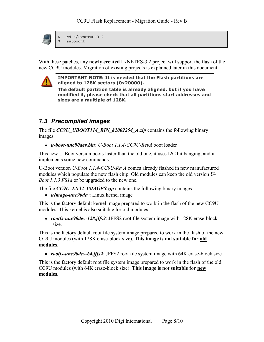

\$ **cd ~/LxNETES-3.2** \$ **autoconf**

With these patches, any **newly created** LxNETES-3.2 project will support the flash of the new CC9U modules. Migration of existing projects is explained later in this document.



**IMPORTANT NOTE: It is needed that the Flash partitions are aligned to 128K sectors (0x20000).** 

**The default partition table is already aligned, but if you have modified it, please check that all partitions start addresses and sizes are a multiple of 128K.**

#### <span id="page-7-0"></span>*7.3 Precompiled images*

The file *CC9U\_UBOOT114\_BIN\_82002254\_A.zip* contains the following binary images:

*u-boot-unc90dev.bin*: *U-Boot 1.1.4-CC9U-RevA* boot loader

This new U-Boot version boots faster than the old one, it uses I2C bit banging, and it implements some new commands.

U-Boot version *U-Boot 1.1.4-CC9U-RevA* comes already flashed in new manufactured modules which populate the new flash chip. Old modules can keep the old version *U-Boot 1.1.3 FS1a* or be upgraded to the new one.

The file *CC9U\_LX32\_IMAGES.zip* contains the following binary images:

*uImage-unc90dev*: Linux kernel image

This is the factory default kernel image prepared to work in the flash of the new CC9U modules. This kernel is also suitable for old modules.

*rootfs-unc90dev-128.jffs2*: JFFS2 root file system image with 128K erase-block size.

This is the factory default root file system image prepared to work in the flash of the new CC9U modules (with 128K erase-block size). **This image is not suitable for old modules**.

*rootfs-unc90dev-64.jffs2*: JFFS2 root file system image with 64K erase-block size.

This is the factory default root file system image prepared to work in the flash of the old CC9U modules (with 64K erase-block size). **This image is not suitable for new modules**.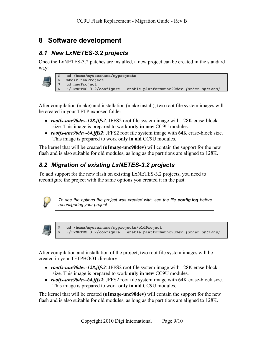### <span id="page-8-0"></span>**8 Software development**

#### <span id="page-8-1"></span>*8.1 New LxNETES-3.2 projects*

Once the LxNETES-3.2 patches are installed, a new project can be created in the standard way:

|    | cd /home/myusername/myprojects                                     |  |
|----|--------------------------------------------------------------------|--|
| S. | mkdir newProject                                                   |  |
| \$ | cd newProject                                                      |  |
|    | ~/LxNETES-3.2/configure --enable-platform=unc90dev [other-options] |  |

After compilation (make) and installation (make install), two root file system images will be created in your TFTP exposed folder:

- *rootfs-unc90dev-128.jffs2*: JFFS2 root file system image with 128K erase-block size. This image is prepared to work **only in new** CC9U modules.
- *rootfs-unc90dev-64.jffs2*: JFFS2 root file system image with 64K erase-block size. This image is prepared to work **only in old** CC9U modules.

The kernel that will be created (**uImage-unc90dev**) will contain the support for the new flash and is also suitable for old modules, as long as the partitions are aligned to 128K.

#### <span id="page-8-2"></span>*8.2 Migration of existing LxNETES-3.2 projects*

To add support for the new flash on existing LxNETES-3.2 projects, you need to reconfigure the project with the same options you created it in the past:



*To see the options the project was created with, see the file config.log before reconfiguring your project.*



\$ **cd /home/myusername/myprojects/oldProject** \$ **~/LxNETES-3.2/configure --enable-platform=unc90dev** *[other-options]*

After compilation and installation of the project, two root file system images will be created in your TFTPBOOT directory:

- *rootfs-unc90dev-128.jffs2*: JFFS2 root file system image with 128K erase-block size. This image is prepared to work **only in new** CC9U modules.
- *rootfs-unc90dev-64.jffs2*: JFFS2 root file system image with 64K erase-block size. This image is prepared to work **only in old** CC9U modules.

The kernel that will be created (**uImage-unc90dev**) will contain the support for the new flash and is also suitable for old modules, as long as the partitions are aligned to 128K.